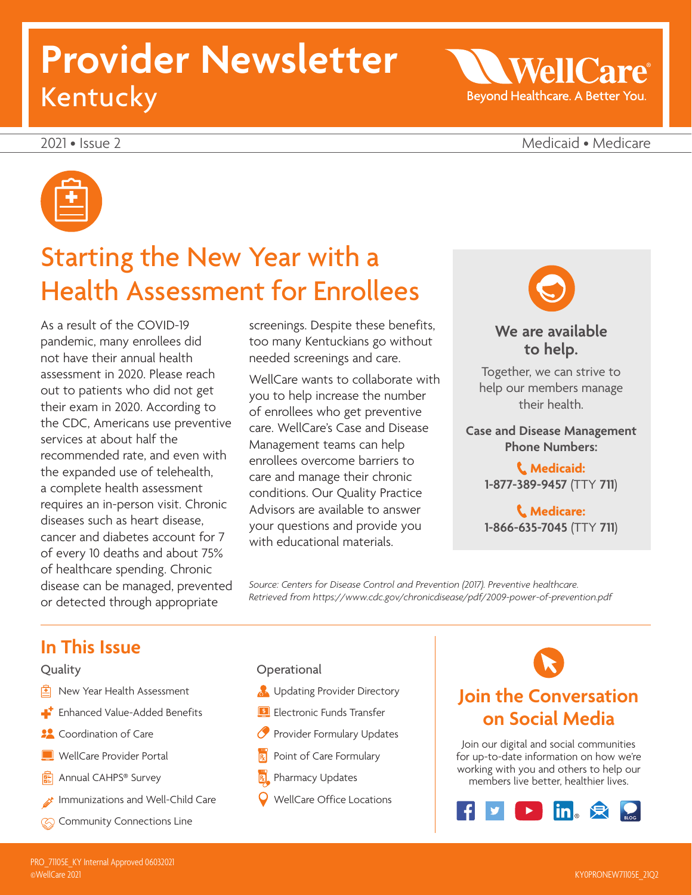# **Provider Newsletter** Kentucky

2021 • Issue 2 Medicaid • Medicare

**WellCa** 

Beyond Healthcare. A Better You.



### Starting the New Year with a Health Assessment for Enrollees

As a result of the COVID-19 pandemic, many enrollees did not have their annual health assessment in 2020. Please reach out to patients who did not get their exam in 2020. According to the CDC, Americans use preventive services at about half the recommended rate, and even with the expanded use of telehealth, a complete health assessment requires an in-person visit. Chronic diseases such as heart disease, cancer and diabetes account for 7 of every 10 deaths and about 75% of healthcare spending. Chronic disease can be managed, prevented or detected through appropriate

screenings. Despite these benefits, too many Kentuckians go without needed screenings and care.

WellCare wants to collaborate with you to help increase the number of enrollees who get preventive care. WellCare's Case and Disease Management teams can help enrollees overcome barriers to care and manage their chronic conditions. Our Quality Practice Advisors are available to answer your questions and provide you with educational materials.



### **We are available to help.**

Together, we can strive to help our members manage their health.

#### **Case and Disease Management Phone Numbers:**

**Medicaid: 1-877-389-9457** (TTY **711**)

**Medicare: 1-866-635-7045** (TTY **711**)

*Source: Centers for Disease Control and Prevention (2017). Preventive healthcare. Retrieved from<https://www.cdc.gov/chronicdisease/pdf/2009-power-of-prevention.pdf>*

### **In This Issue**

#### Quality

- $\boxed{\triangle}$  New Year Health Assessment
- **Enhanced Value-Added Benefits**
- **22** Coordination of Care
- **WellCare Provider Portal**
- **图** Annual CAHPS<sup>®</sup> Survey
- Immunizations and Well-Child Care
- **Community Connections Line**
- **Operational**
- **B** Updating Provider Directory
- **ELECTRONIC Funds Transfer**
- **Provider Formulary Updates**
- $\mathbb{R}$  Point of Care Formulary
- Pharmacy Updates
- WellCare Office Locations

### **Join the Conversation on Social Media**

Join our digital and social communities for up-to-date information on how we're working with you and others to help our members live better, healthier lives.

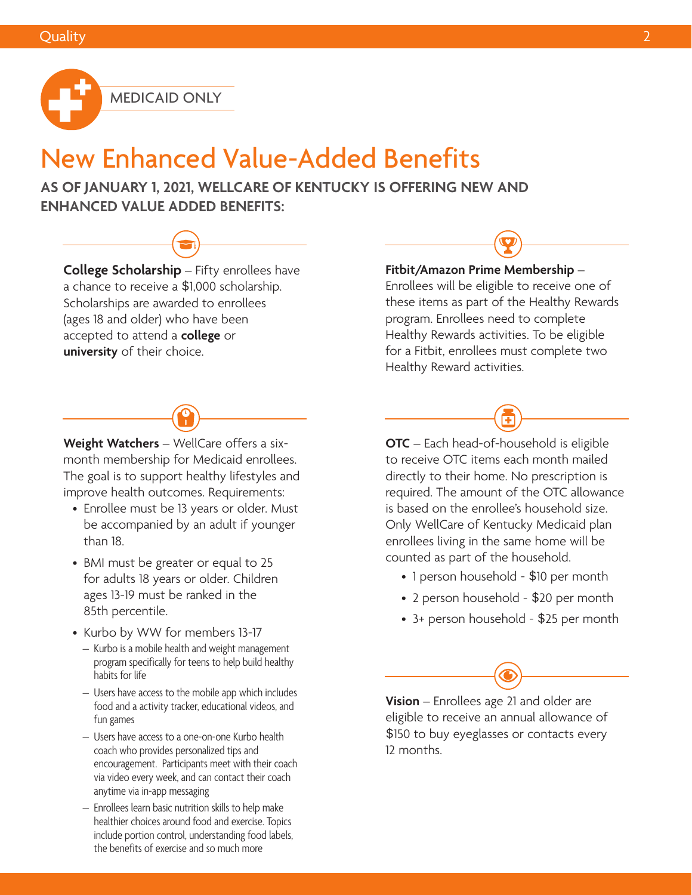

### New Enhanced Value-Added Benefits

**AS OF JANUARY 1, 2021, WELLCARE OF KENTUCKY IS OFFERING NEW AND ENHANCED VALUE ADDED BENEFITS:**

**College Scholarship** – Fifty enrollees have a chance to receive a \$1,000 scholarship. Scholarships are awarded to enrollees (ages 18 and older) who have been accepted to attend a **college** or **university** of their choice.



- Enrollee must be 13 years or older. Must be accompanied by an adult if younger than 18.
- BMI must be greater or equal to 25 for adults 18 years or older. Children ages 13-19 must be ranked in the 85th percentile.
- Kurbo by WW for members 13-17
- Kurbo is a mobile health and weight management program specifically for teens to help build healthy habits for life
- Users have access to the mobile app which includes food and a activity tracker, educational videos, and fun games
- Users have access to a one-on-one Kurbo health coach who provides personalized tips and encouragement. Participants meet with their coach via video every week, and can contact their coach anytime via in-app messaging
- Enrollees learn basic nutrition skills to help make healthier choices around food and exercise. Topics include portion control, understanding food labels, the benefits of exercise and so much more

#### **Fitbit/Amazon Prime Membership** –

Enrollees will be eligible to receive one of these items as part of the Healthy Rewards program. Enrollees need to complete Healthy Rewards activities. To be eligible for a Fitbit, enrollees must complete two Healthy Reward activities.



**OTC** – Each head-of-household is eligible to receive OTC items each month mailed directly to their home. No prescription is required. The amount of the OTC allowance is based on the enrollee's household size. Only WellCare of Kentucky Medicaid plan enrollees living in the same home will be counted as part of the household.

- 1 person household \$10 per month
- 2 person household \$20 per month
- 3+ person household \$25 per month

**Vision** – Enrollees age 21 and older are eligible to receive an annual allowance of \$150 to buy eyeglasses or contacts every 12 months.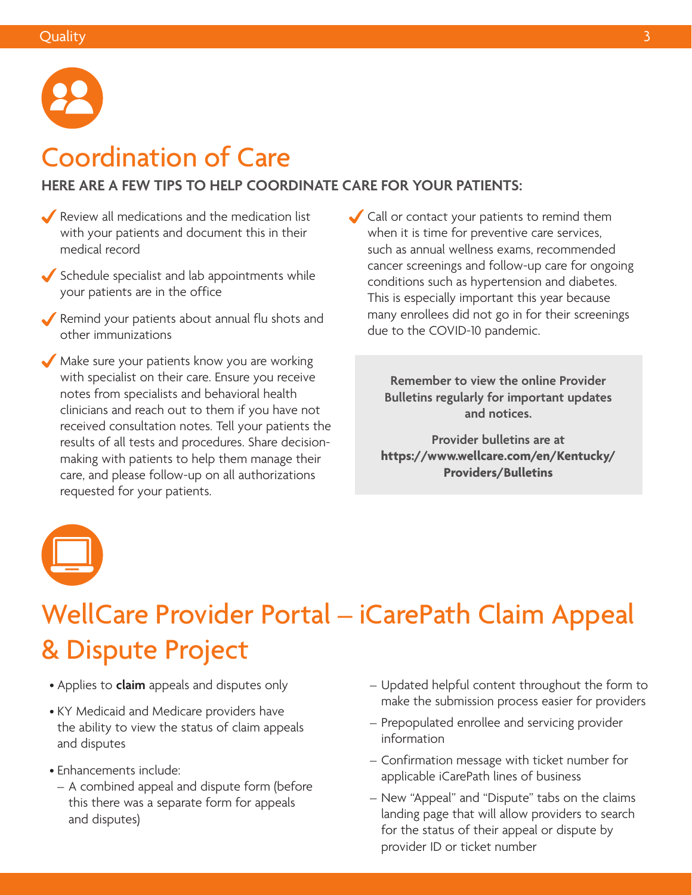

### Coordination of Care

#### **HERE ARE A FEW TIPS TO HELP COORDINATE CARE FOR YOUR PATIENTS:**

- Review all medications and the medication list with your patients and document this in their medical record
- $\blacktriangleright$  Schedule specialist and lab appointments while your patients are in the office
- Remind your patients about annual flu shots and other immunizations
- Make sure your patients know you are working with specialist on their care. Ensure you receive notes from specialists and behavioral health clinicians and reach out to them if you have not received consultation notes. Tell your patients the results of all tests and procedures. Share decisionmaking with patients to help them manage their care, and please follow-up on all authorizations requested for your patients.
- Call or contact your patients to remind them when it is time for preventive care services, such as annual wellness exams, recommended cancer screenings and follow-up care for ongoing conditions such as hypertension and diabetes. This is especially important this year because many enrollees did not go in for their screenings due to the COVID-10 pandemic.

**Remember to view the online Provider Bulletins regularly for important updates and notices.** 

**Provider bulletins are at [https://www.wellcare.com/en/Kentucky/](https://www.wellcare.com/en/Kentucky/Providers/Bulletins) Providers/Bulletins**



## WellCare Provider Portal – iCarePath Claim Appeal & Dispute Project

- Applies to **claim** appeals and disputes only
- KY Medicaid and Medicare providers have the ability to view the status of claim appeals and disputes
- Enhancements include:
	- A combined appeal and dispute form (before this there was a separate form for appeals and disputes)
- Updated helpful content throughout the form to make the submission process easier for providers
- Prepopulated enrollee and servicing provider information
- Confirmation message with ticket number for applicable iCarePath lines of business
- New "Appeal" and "Dispute" tabs on the claims landing page that will allow providers to search for the status of their appeal or dispute by provider ID or ticket number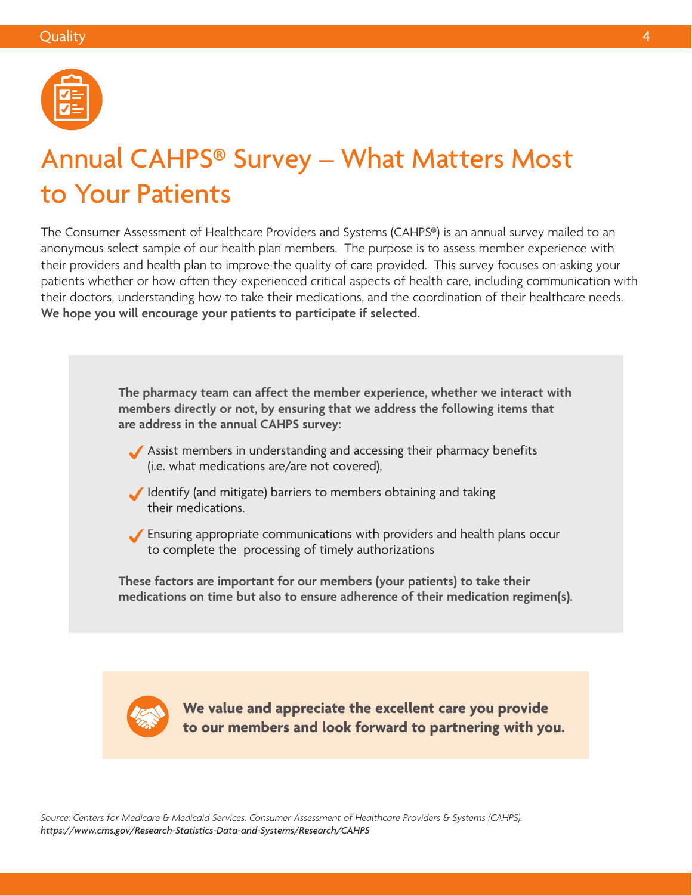

### Annual CAHPS® Survey – What Matters Most to Your Patients

The Consumer Assessment of Healthcare Providers and Systems (CAHPS®) is an annual survey mailed to an anonymous select sample of our health plan members. The purpose is to assess member experience with their providers and health plan to improve the quality of care provided. This survey focuses on asking your patients whether or how often they experienced critical aspects of health care, including communication with their doctors, understanding how to take their medications, and the coordination of their healthcare needs. **We hope you will encourage your patients to participate if selected.**

> **The pharmacy team can affect the member experience, whether we interact with members directly or not, by ensuring that we address the following items that are address in the annual CAHPS survey:**

- Assist members in understanding and accessing their pharmacy benefits (i.e. what medications are/are not covered),
- Identify (and mitigate) barriers to members obtaining and taking their medications.
- Ensuring appropriate communications with providers and health plans occur to complete the processing of timely authorizations

**These factors are important for our members (your patients) to take their medications on time but also to ensure adherence of their medication regimen(s).**



**We value and appreciate the excellent care you provide to our members and look forward to partnering with you.**

*Source: Centers for Medicare & Medicaid Services. Consumer Assessment of Healthcare Providers & Systems (CAHPS). <https://www.cms.gov/Research-Statistics-Data-and-Systems/Research/CAHPS>*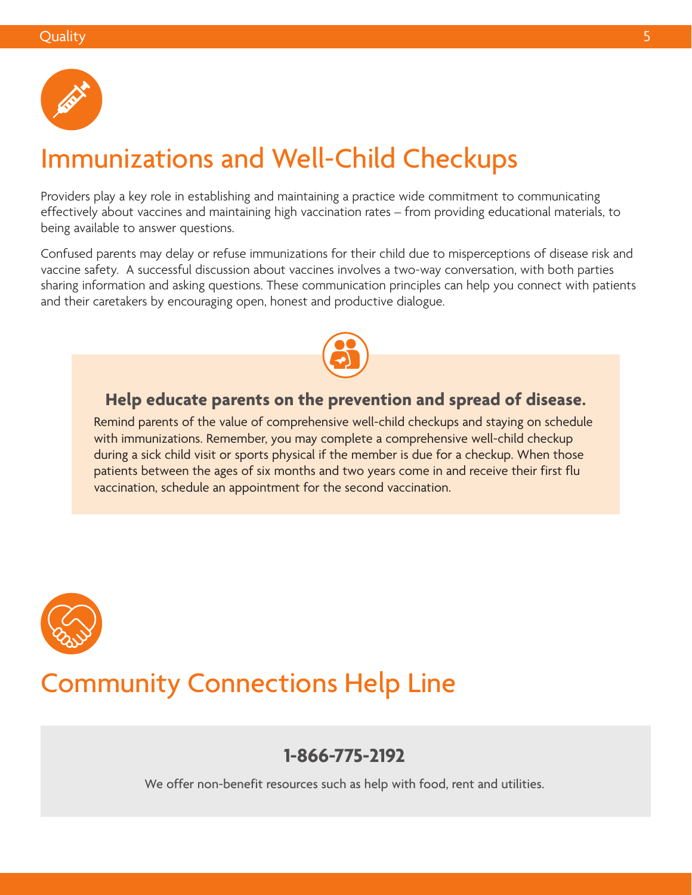

### Immunizations and Well-Child Checkups

Providers play a key role in establishing and maintaining a practice wide commitment to communicating effectively about vaccines and maintaining high vaccination rates – from providing educational materials, to being available to answer questions.

Confused parents may delay or refuse immunizations for their child due to misperceptions of disease risk and vaccine safety. A successful discussion about vaccines involves a two-way conversation, with both parties sharing information and asking questions. These communication principles can help you connect with patients and their caretakers by encouraging open, honest and productive dialogue.



### **Help educate parents on the prevention and spread of disease.**

Remind parents of the value of comprehensive well-child checkups and staying on schedule with immunizations. Remember, you may complete a comprehensive well-child checkup during a sick child visit or sports physical if the member is due for a checkup. When those patients between the ages of six months and two years come in and receive their first flu vaccination, schedule an appointment for the second vaccination.



### Community Connections Help Line

### **1-866-775-2192**

We offer non-benefit resources such as help with food, rent and utilities.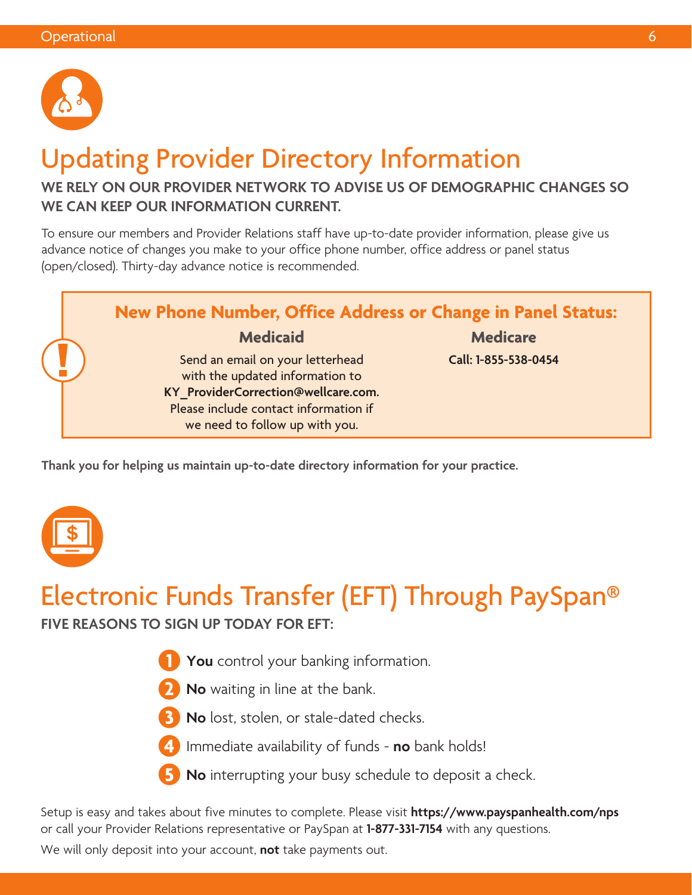

## Updating Provider Directory Information

### **WE RELY ON OUR PROVIDER NETWORK TO ADVISE US OF DEMOGRAPHIC CHANGES SO WE CAN KEEP OUR INFORMATION CURRENT.**

To ensure our members and Provider Relations staff have up-to-date provider information, please give us advance notice of changes you make to your office phone number, office address or panel status (open/closed). Thirty-day advance notice is recommended.



**Thank you for helping us maintain up-to-date directory information for your practice.**



### Electronic Funds Transfer (EFT) Through PaySpan®

**FIVE REASONS TO SIGN UP TODAY FOR EFT:**

- **1 You** control your banking information.
- **2 No** waiting in line at the bank.
- **3 No** lost, stolen, or stale-dated checks.
- **4** Immediate availability of funds **no** bank holds!
- **5 No** interrupting your busy schedule to deposit a check.

Setup is easy and takes about five minutes to complete. Please visit **<https://www.payspanhealth.com/nps>** or call your Provider Relations representative or PaySpan at **1-877-331-7154** with any questions.

We will only deposit into your account, **not** take payments out.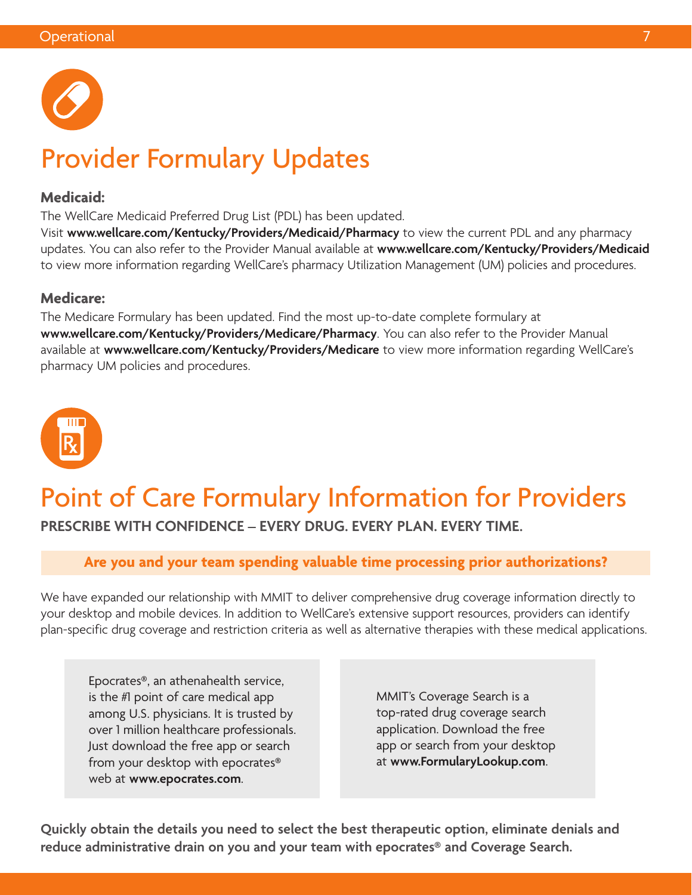

## Provider Formulary Updates

#### **Medicaid:**

The WellCare Medicaid Preferred Drug List (PDL) has been updated.

Visit **[www.wellcare.com/Kentucky/Providers/Medicaid/Pharmacy](http://www.wellcare.com/Kentucky/Providers/Medicaid/Pharmacy)** to view the current PDL and any pharmacy updates. You can also refer to the Provider Manual available at **[www.wellcare.com/Kentucky/Providers/Medicaid](http://www.wellcare.com/Kentucky/Providers/Medicaid)** to view more information regarding WellCare's pharmacy Utilization Management (UM) policies and procedures.

#### **Medicare:**

The Medicare Formulary has been updated. Find the most up-to-date complete formulary at **[www.wellcare.com/Kentucky/Providers/Medicare/Pharmacy](http://www.wellcare.com/Kentucky/Providers/Medicare/Pharmacy)**. You can also refer to the Provider Manual available at **[www.wellcare.com/Kentucky/Providers/Medicare](http://www.wellcare.com/Kentucky/Providers/Medicare)** to view more information regarding WellCare's pharmacy UM policies and procedures.



# Point of Care Formulary Information for Providers

### **PRESCRIBE WITH CONFIDENCE – EVERY DRUG. EVERY PLAN. EVERY TIME.**

### **Are you and your team spending valuable time processing prior authorizations?**

We have expanded our relationship with MMIT to deliver comprehensive drug coverage information directly to your desktop and mobile devices. In addition to WellCare's extensive support resources, providers can identify plan-specific drug coverage and restriction criteria as well as alternative therapies with these medical applications.

Epocrates®, an athenahealth service, is the #1 point of care medical app among U.S. physicians. It is trusted by over 1 million healthcare professionals. Just download the free app or search from your desktop with epocrates® web at **[www.epocrates.com](http://www.epocrates.com)**.

MMIT's Coverage Search is a top-rated drug coverage search application. Download the free app or search from your desktop at **[www.FormularyLookup.com](http://www.FormularyLookup.com)**.

**Quickly obtain the details you need to select the best therapeutic option, eliminate denials and reduce administrative drain on you and your team with epocrates® and Coverage Search.**